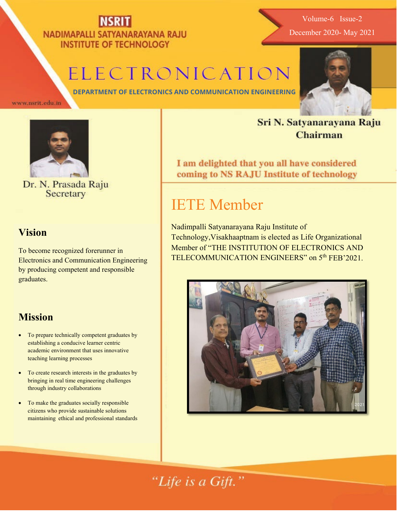### NADIMAPALLI SATYANARAYANA RAJU **INSTITUTE OF TECHNOLOGY**

Volume-6 Issue-2 December 2020- May 2021

## ELECTRONICATION

**DEPARTMENT OF ELECTRONICS AND COMMUNICATION ENGINEERING**

www.nsrit.edu.in



Dr. N. Prasada Raju<br>Secretary

#### **Vision**

To become recognized forerunner in Electronics and Communication Engineering by producing competent and responsible graduates.

#### **Mission**

- To prepare technically competent graduates by establishing a conducive learner centric academic environment that uses innovative teaching learning processes
- To create research interests in the graduates by bringing in real time engineering challenges through industry collaborations
- To make the graduates socially responsible citizens who provide sustainable solutions maintaining ethical and professional standards

#### Sri N. Satyanarayana Raju **Chairman**

I am delighted that you all have considered coming to NS RAJU Institute of technology

### IETE Member

Nadimpalli Satyanarayana Raju Institute of Technology,Visakhaaptnam is elected as Life Organizational Member of "THE INSTITUTION OF ELECTRONICS AND TELECOMMUNICATION ENGINEERS" on 5<sup>th</sup> FEB'2021.



#### "Life is a Gift."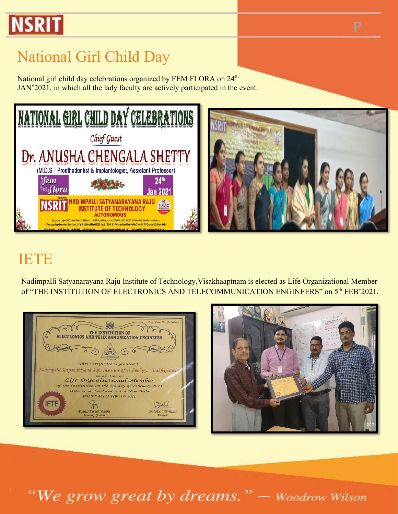# **NSRIT**

## National Girl Child Day

National girl child day celebrations organized by FEM FLORA on 24<sup>th</sup> JAN'2021, in which all the lady faculty are actively participated in the event.



#### IETE

Nadimpalli Satyanarayana Raju Institute of Technology,Visakhaaptnam is elected as Life Organizational Member of "THE INSTITUTION OF ELECTRONICS AND TELECOMMUNICATION ENGINEERS" on 5<sup>th</sup> FEB'2021.





"We grow great by dreams." - Woodrow Wilson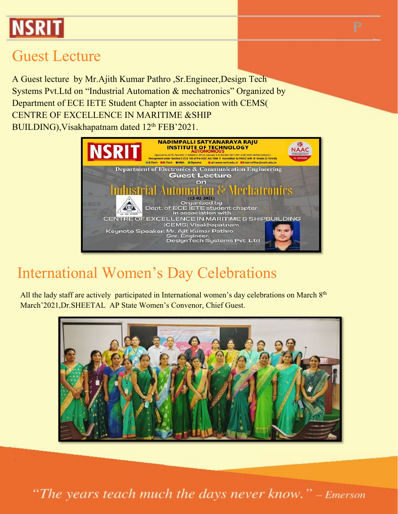# **NSRIT**

#### Guest Lecture

A Guest lecture by Mr.Ajith Kumar Pathro ,Sr.Engineer,Design Tech Systems Pvt.Ltd on "Industrial Automation & mechatronics" Organized by Department of ECE IETE Student Chapter in association with CEMS( CENTRE OF EXCELLENCE IN MARITIME &SHIP BUILDING), Visakhapatnam dated 12<sup>th</sup> FEB'2021.



#### International Women's Day Celebrations

All the lady staff are actively participated in International women's day celebrations on March 8<sup>th</sup> March'2021,Dr.SHEETAL AP State Women's Convenor, Chief Guest.



"The years teach much the days never know." - Emerson